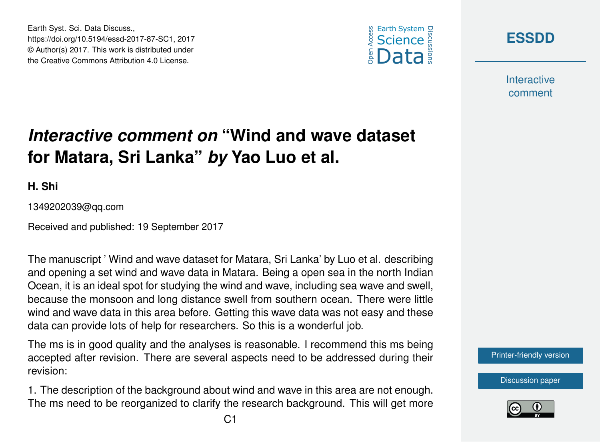





**Interactive** comment

## *Interactive comment on* **"Wind and wave dataset for Matara, Sri Lanka"** *by* **Yao Luo et al.**

**H. Shi**

1349202039@qq.com

Received and published: 19 September 2017

The manuscript ' Wind and wave dataset for Matara, Sri Lanka' by Luo et al. describing and opening a set wind and wave data in Matara. Being a open sea in the north Indian Ocean, it is an ideal spot for studying the wind and wave, including sea wave and swell, because the monsoon and long distance swell from southern ocean. There were little wind and wave data in this area before. Getting this wave data was not easy and these data can provide lots of help for researchers. So this is a wonderful job.

The ms is in good quality and the analyses is reasonable. I recommend this ms being accepted after revision. There are several aspects need to be addressed during their revision:

1. The description of the background about wind and wave in this area are not enough. The ms need to be reorganized to clarify the research background. This will get more



[Discussion paper](https://www.earth-syst-sci-data-discuss.net/essd-2017-87)